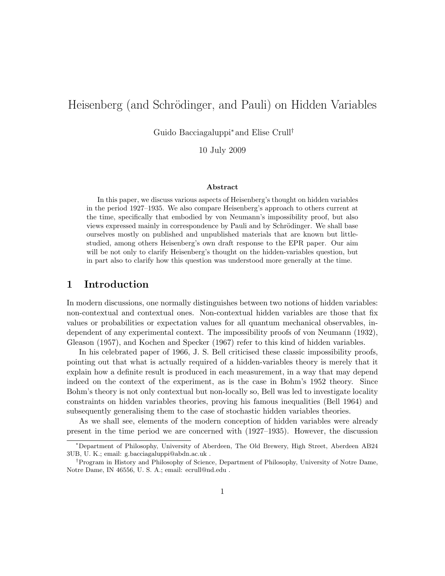# Heisenberg (and Schrödinger, and Pauli) on Hidden Variables

Guido Bacciagaluppi<sup>∗</sup> and Elise Crull†

10 July 2009

#### Abstract

In this paper, we discuss various aspects of Heisenberg's thought on hidden variables in the period 1927–1935. We also compare Heisenberg's approach to others current at the time, specifically that embodied by von Neumann's impossibility proof, but also views expressed mainly in correspondence by Pauli and by Schrödinger. We shall base ourselves mostly on published and unpublished materials that are known but littlestudied, among others Heisenberg's own draft response to the EPR paper. Our aim will be not only to clarify Heisenberg's thought on the hidden-variables question, but in part also to clarify how this question was understood more generally at the time.

### 1 Introduction

In modern discussions, one normally distinguishes between two notions of hidden variables: non-contextual and contextual ones. Non-contextual hidden variables are those that fix values or probabilities or expectation values for all quantum mechanical observables, independent of any experimental context. The impossibility proofs of von Neumann (1932), Gleason (1957), and Kochen and Specker (1967) refer to this kind of hidden variables.

In his celebrated paper of 1966, J. S. Bell criticised these classic impossibility proofs, pointing out that what is actually required of a hidden-variables theory is merely that it explain how a definite result is produced in each measurement, in a way that may depend indeed on the context of the experiment, as is the case in Bohm's 1952 theory. Since Bohm's theory is not only contextual but non-locally so, Bell was led to investigate locality constraints on hidden variables theories, proving his famous inequalities (Bell 1964) and subsequently generalising them to the case of stochastic hidden variables theories.

As we shall see, elements of the modern conception of hidden variables were already present in the time period we are concerned with (1927–1935). However, the discussion

<sup>∗</sup>Department of Philosophy, University of Aberdeen, The Old Brewery, High Street, Aberdeen AB24 3UB, U. K.; email: g.bacciagaluppi@abdn.ac.uk .

<sup>†</sup>Program in History and Philosophy of Science, Department of Philosophy, University of Notre Dame, Notre Dame, IN 46556, U. S. A.; email: ecrull@nd.edu .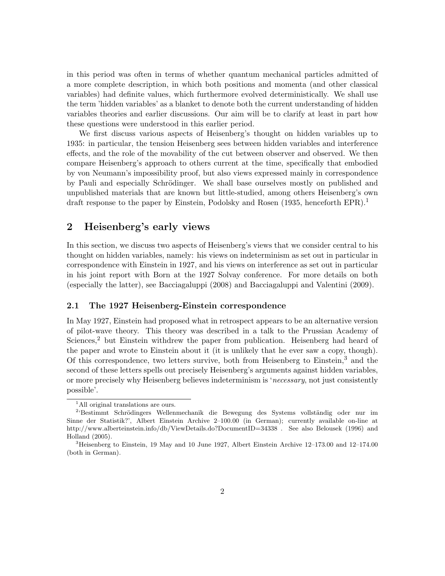in this period was often in terms of whether quantum mechanical particles admitted of a more complete description, in which both positions and momenta (and other classical variables) had definite values, which furthermore evolved deterministically. We shall use the term 'hidden variables' as a blanket to denote both the current understanding of hidden variables theories and earlier discussions. Our aim will be to clarify at least in part how these questions were understood in this earlier period.

We first discuss various aspects of Heisenberg's thought on hidden variables up to 1935: in particular, the tension Heisenberg sees between hidden variables and interference effects, and the role of the movability of the cut between observer and observed. We then compare Heisenberg's approach to others current at the time, specifically that embodied by von Neumann's impossibility proof, but also views expressed mainly in correspondence by Pauli and especially Schrödinger. We shall base ourselves mostly on published and unpublished materials that are known but little-studied, among others Heisenberg's own draft response to the paper by Einstein, Podolsky and Rosen (1935, henceforth EPR).<sup>1</sup>

### 2 Heisenberg's early views

In this section, we discuss two aspects of Heisenberg's views that we consider central to his thought on hidden variables, namely: his views on indeterminism as set out in particular in correspondence with Einstein in 1927, and his views on interference as set out in particular in his joint report with Born at the 1927 Solvay conference. For more details on both (especially the latter), see Bacciagaluppi (2008) and Bacciagaluppi and Valentini (2009).

### 2.1 The 1927 Heisenberg-Einstein correspondence

In May 1927, Einstein had proposed what in retrospect appears to be an alternative version of pilot-wave theory. This theory was described in a talk to the Prussian Academy of Sciences,<sup>2</sup> but Einstein withdrew the paper from publication. Heisenberg had heard of the paper and wrote to Einstein about it (it is unlikely that he ever saw a copy, though). Of this correspondence, two letters survive, both from Heisenberg to Einstein,<sup>3</sup> and the second of these letters spells out precisely Heisenberg's arguments against hidden variables, or more precisely why Heisenberg believes indeterminism is 'necessary, not just consistently possible'.

<sup>&</sup>lt;sup>1</sup>All original translations are ours.

<sup>&</sup>lt;sup>2</sup>'Bestimmt Schrödingers Wellenmechanik die Bewegung des Systems vollständig oder nur im Sinne der Statistik?', Albert Einstein Archive 2–100.00 (in German); currently available on-line at http://www.alberteinstein.info/db/ViewDetails.do?DocumentID=34338 . See also Belousek (1996) and Holland (2005).

<sup>3</sup>Heisenberg to Einstein, 19 May and 10 June 1927, Albert Einstein Archive 12–173.00 and 12–174.00 (both in German).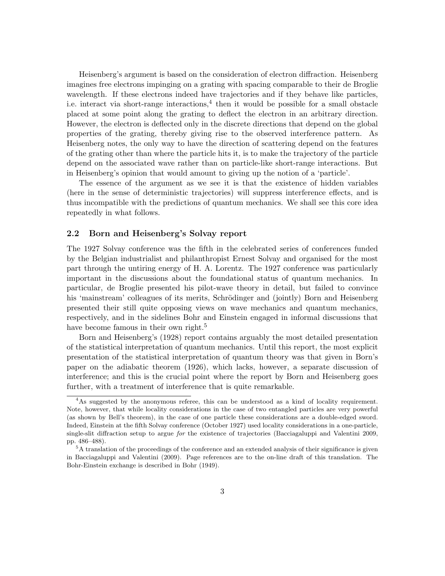Heisenberg's argument is based on the consideration of electron diffraction. Heisenberg imagines free electrons impinging on a grating with spacing comparable to their de Broglie wavelength. If these electrons indeed have trajectories and if they behave like particles, i.e. interact via short-range interactions,<sup>4</sup> then it would be possible for a small obstacle placed at some point along the grating to deflect the electron in an arbitrary direction. However, the electron is deflected only in the discrete directions that depend on the global properties of the grating, thereby giving rise to the observed interference pattern. As Heisenberg notes, the only way to have the direction of scattering depend on the features of the grating other than where the particle hits it, is to make the trajectory of the particle depend on the associated wave rather than on particle-like short-range interactions. But in Heisenberg's opinion that would amount to giving up the notion of a 'particle'.

The essence of the argument as we see it is that the existence of hidden variables (here in the sense of deterministic trajectories) will suppress interference effects, and is thus incompatible with the predictions of quantum mechanics. We shall see this core idea repeatedly in what follows.

#### 2.2 Born and Heisenberg's Solvay report

The 1927 Solvay conference was the fifth in the celebrated series of conferences funded by the Belgian industrialist and philanthropist Ernest Solvay and organised for the most part through the untiring energy of H. A. Lorentz. The 1927 conference was particularly important in the discussions about the foundational status of quantum mechanics. In particular, de Broglie presented his pilot-wave theory in detail, but failed to convince his 'mainstream' colleagues of its merits, Schrödinger and (jointly) Born and Heisenberg presented their still quite opposing views on wave mechanics and quantum mechanics, respectively, and in the sidelines Bohr and Einstein engaged in informal discussions that have become famous in their own right.<sup>5</sup>

Born and Heisenberg's (1928) report contains arguably the most detailed presentation of the statistical interpretation of quantum mechanics. Until this report, the most explicit presentation of the statistical interpretation of quantum theory was that given in Born's paper on the adiabatic theorem (1926), which lacks, however, a separate discussion of interference; and this is the crucial point where the report by Born and Heisenberg goes further, with a treatment of interference that is quite remarkable.

<sup>&</sup>lt;sup>4</sup>As suggested by the anonymous referee, this can be understood as a kind of locality requirement. Note, however, that while locality considerations in the case of two entangled particles are very powerful (as shown by Bell's theorem), in the case of one particle these considerations are a double-edged sword. Indeed, Einstein at the fifth Solvay conference (October 1927) used locality considerations in a one-particle, single-slit diffraction setup to argue for the existence of trajectories (Bacciagaluppi and Valentini 2009, pp. 486–488).

<sup>&</sup>lt;sup>5</sup>A translation of the proceedings of the conference and an extended analysis of their significance is given in Bacciagaluppi and Valentini (2009). Page references are to the on-line draft of this translation. The Bohr-Einstein exchange is described in Bohr (1949).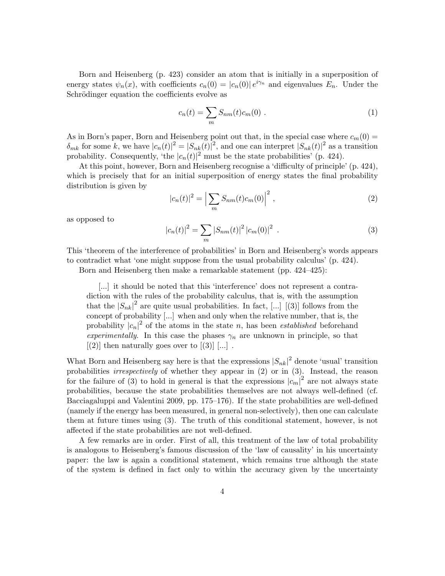Born and Heisenberg (p. 423) consider an atom that is initially in a superposition of energy states  $\psi_n(x)$ , with coefficients  $c_n(0) = |c_n(0)| e^{i\gamma_n}$  and eigenvalues  $E_n$ . Under the Schrödinger equation the coefficients evolve as

$$
c_n(t) = \sum_m S_{nm}(t)c_m(0) .
$$
 (1)

As in Born's paper, Born and Heisenberg point out that, in the special case where  $c_m(0)$  =  $\delta_{mk}$  for some k, we have  $|c_n(t)|^2 = |S_{nk}(t)|^2$ , and one can interpret  $|S_{nk}(t)|^2$  as a transition probability. Consequently, 'the  $|c_n(t)|^2$  must be the state probabilities' (p. 424).

At this point, however, Born and Heisenberg recognise a 'difficulty of principle' (p. 424), which is precisely that for an initial superposition of energy states the final probability distribution is given by

$$
|c_n(t)|^2 = \left| \sum_m S_{nm}(t) c_m(0) \right|^2, \tag{2}
$$

as opposed to

$$
|c_n(t)|^2 = \sum_m |S_{nm}(t)|^2 |c_m(0)|^2 . \tag{3}
$$

This 'theorem of the interference of probabilities' in Born and Heisenberg's words appears to contradict what 'one might suppose from the usual probability calculus' (p. 424).

Born and Heisenberg then make a remarkable statement (pp. 424–425):

[...] it should be noted that this 'interference' does not represent a contradiction with the rules of the probability calculus, that is, with the assumption that the  $|S_{nk}|^2$  are quite usual probabilities. In fact, [...] [(3)] follows from the concept of probability [...] when and only when the relative number, that is, the probability  $|c_n|^2$  of the atoms in the state n, has been *established* beforehand experimentally. In this case the phases  $\gamma_n$  are unknown in principle, so that  $[(2)]$  then naturally goes over to  $[(3)]$  [...].

What Born and Heisenberg say here is that the expressions  $|S_{nk}|^2$  denote 'usual' transition probabilities irrespectively of whether they appear in (2) or in (3). Instead, the reason for the failure of (3) to hold in general is that the expressions  $|c_m|^2$  are not always state probabilities, because the state probabilities themselves are not always well-defined (cf. Bacciagaluppi and Valentini 2009, pp. 175–176). If the state probabilities are well-defined (namely if the energy has been measured, in general non-selectively), then one can calculate them at future times using (3). The truth of this conditional statement, however, is not affected if the state probabilities are not well-defined.

A few remarks are in order. First of all, this treatment of the law of total probability is analogous to Heisenberg's famous discussion of the 'law of causality' in his uncertainty paper: the law is again a conditional statement, which remains true although the state of the system is defined in fact only to within the accuracy given by the uncertainty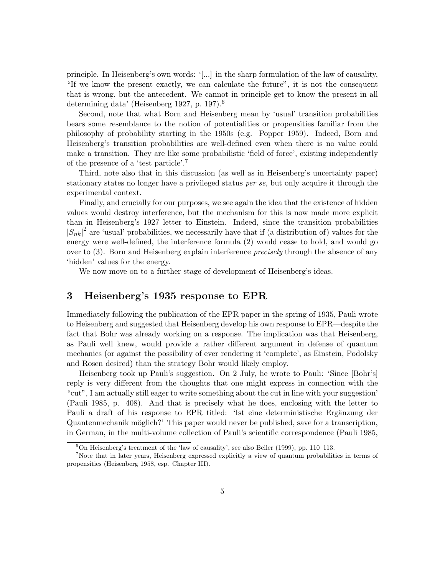principle. In Heisenberg's own words: '[...] in the sharp formulation of the law of causality, "If we know the present exactly, we can calculate the future", it is not the consequent that is wrong, but the antecedent. We cannot in principle get to know the present in all determining data' (Heisenberg 1927, p. 197).<sup>6</sup>

Second, note that what Born and Heisenberg mean by 'usual' transition probabilities bears some resemblance to the notion of potentialities or propensities familiar from the philosophy of probability starting in the 1950s (e.g. Popper 1959). Indeed, Born and Heisenberg's transition probabilities are well-defined even when there is no value could make a transition. They are like some probabilistic 'field of force', existing independently of the presence of a 'test particle'.<sup>7</sup>

Third, note also that in this discussion (as well as in Heisenberg's uncertainty paper) stationary states no longer have a privileged status per se, but only acquire it through the experimental context.

Finally, and crucially for our purposes, we see again the idea that the existence of hidden values would destroy interference, but the mechanism for this is now made more explicit than in Heisenberg's 1927 letter to Einstein. Indeed, since the transition probabilities  $|S_{nk}|^2$  are 'usual' probabilities, we necessarily have that if (a distribution of) values for the energy were well-defined, the interference formula (2) would cease to hold, and would go over to (3). Born and Heisenberg explain interference precisely through the absence of any 'hidden' values for the energy.

We now move on to a further stage of development of Heisenberg's ideas.

### 3 Heisenberg's 1935 response to EPR

Immediately following the publication of the EPR paper in the spring of 1935, Pauli wrote to Heisenberg and suggested that Heisenberg develop his own response to EPR—despite the fact that Bohr was already working on a response. The implication was that Heisenberg, as Pauli well knew, would provide a rather different argument in defense of quantum mechanics (or against the possibility of ever rendering it 'complete', as Einstein, Podolsky and Rosen desired) than the strategy Bohr would likely employ.

Heisenberg took up Pauli's suggestion. On 2 July, he wrote to Pauli: 'Since [Bohr's] reply is very different from the thoughts that one might express in connection with the "cut", I am actually still eager to write something about the cut in line with your suggestion' (Pauli 1985, p. 408). And that is precisely what he does, enclosing with the letter to Pauli a draft of his response to EPR titled: 'Ist eine deterministische Ergänzung der Quantenmechanik möglich?' This paper would never be published, save for a transcription, in German, in the multi-volume collection of Pauli's scientific correspondence (Pauli 1985,

 $6$ On Heisenberg's treatment of the 'law of causality', see also Beller (1999), pp. 110–113.

<sup>&</sup>lt;sup>7</sup>Note that in later years, Heisenberg expressed explicitly a view of quantum probabilities in terms of propensities (Heisenberg 1958, esp. Chapter III).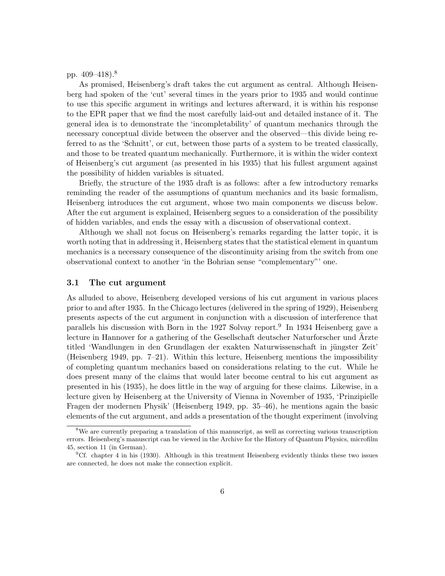pp.  $409-418$ ).<sup>8</sup>

As promised, Heisenberg's draft takes the cut argument as central. Although Heisenberg had spoken of the 'cut' several times in the years prior to 1935 and would continue to use this specific argument in writings and lectures afterward, it is within his response to the EPR paper that we find the most carefully laid-out and detailed instance of it. The general idea is to demonstrate the 'incompletability' of quantum mechanics through the necessary conceptual divide between the observer and the observed—this divide being referred to as the 'Schnitt', or cut, between those parts of a system to be treated classically, and those to be treated quantum mechanically. Furthermore, it is within the wider context of Heisenberg's cut argument (as presented in his 1935) that his fullest argument against the possibility of hidden variables is situated.

Briefly, the structure of the 1935 draft is as follows: after a few introductory remarks reminding the reader of the assumptions of quantum mechanics and its basic formalism, Heisenberg introduces the cut argument, whose two main components we discuss below. After the cut argument is explained, Heisenberg segues to a consideration of the possibility of hidden variables, and ends the essay with a discussion of observational context.

Although we shall not focus on Heisenberg's remarks regarding the latter topic, it is worth noting that in addressing it, Heisenberg states that the statistical element in quantum mechanics is a necessary consequence of the discontinuity arising from the switch from one observational context to another 'in the Bohrian sense "complementary"' one.

#### 3.1 The cut argument

As alluded to above, Heisenberg developed versions of his cut argument in various places prior to and after 1935. In the Chicago lectures (delivered in the spring of 1929), Heisenberg presents aspects of the cut argument in conjunction with a discussion of interference that parallels his discussion with Born in the 1927 Solvay report.<sup>9</sup> In 1934 Heisenberg gave a lecture in Hannover for a gathering of the Gesellschaft deutscher Naturforscher und Arzte titled 'Wandlungen in den Grundlagen der exakten Naturwissenschaft in jüngster Zeit' (Heisenberg 1949, pp. 7–21). Within this lecture, Heisenberg mentions the impossibility of completing quantum mechanics based on considerations relating to the cut. While he does present many of the claims that would later become central to his cut argument as presented in his (1935), he does little in the way of arguing for these claims. Likewise, in a lecture given by Heisenberg at the University of Vienna in November of 1935, 'Prinzipielle Fragen der modernen Physik' (Heisenberg 1949, pp. 35–46), he mentions again the basic elements of the cut argument, and adds a presentation of the thought experiment (involving

<sup>&</sup>lt;sup>8</sup>We are currently preparing a translation of this manuscript, as well as correcting various transcription errors. Heisenberg's manuscript can be viewed in the Archive for the History of Quantum Physics, microfilm 45, section 11 (in German).

 ${}^{9}$ Cf. chapter 4 in his (1930). Although in this treatment Heisenberg evidently thinks these two issues are connected, he does not make the connection explicit.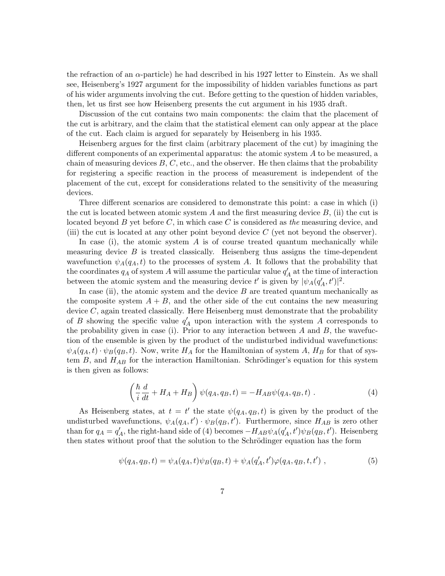the refraction of an  $\alpha$ -particle) he had described in his 1927 letter to Einstein. As we shall see, Heisenberg's 1927 argument for the impossibility of hidden variables functions as part of his wider arguments involving the cut. Before getting to the question of hidden variables, then, let us first see how Heisenberg presents the cut argument in his 1935 draft.

Discussion of the cut contains two main components: the claim that the placement of the cut is arbitrary, and the claim that the statistical element can only appear at the place of the cut. Each claim is argued for separately by Heisenberg in his 1935.

Heisenberg argues for the first claim (arbitrary placement of the cut) by imagining the different components of an experimental apparatus: the atomic system A to be measured, a chain of measuring devices  $B, C$ , etc., and the observer. He then claims that the probability for registering a specific reaction in the process of measurement is independent of the placement of the cut, except for considerations related to the sensitivity of the measuring devices.

Three different scenarios are considered to demonstrate this point: a case in which (i) the cut is located between atomic system A and the first measuring device  $B$ , (ii) the cut is located beyond B yet before  $C$ , in which case C is considered as the measuring device, and (iii) the cut is located at any other point beyond device  $C$  (yet not beyond the observer).

In case (i), the atomic system  $A$  is of course treated quantum mechanically while measuring device  $B$  is treated classically. Heisenberg thus assigns the time-dependent wavefunction  $\psi_A(q_A, t)$  to the processes of system A. It follows that the probability that the coordinates  $q_A$  of system A will assume the particular value  $q'_A$  at the time of interaction between the atomic system and the measuring device  $t'$  is given by  $|\psi_A(q'_A, t')|^2$ .

In case (ii), the atomic system and the device  $B$  are treated quantum mechanically as the composite system  $A + B$ , and the other side of the cut contains the new measuring device  $C$ , again treated classically. Here Heisenberg must demonstrate that the probability of B showing the specific value  $q'_A$  upon interaction with the system A corresponds to the probability given in case (i). Prior to any interaction between  $A$  and  $B$ , the wavefuction of the ensemble is given by the product of the undisturbed individual wavefunctions:  $\psi_A(q_A, t) \cdot \psi_B(q_B, t)$ . Now, write  $H_A$  for the Hamiltonian of system A,  $H_B$  for that of system  $B$ , and  $H_{AB}$  for the interaction Hamiltonian. Schrödinger's equation for this system is then given as follows:

$$
\left(\frac{\hbar}{i}\frac{d}{dt} + H_A + H_B\right)\psi(q_A, q_B, t) = -H_{AB}\psi(q_A, q_B, t) . \tag{4}
$$

As Heisenberg states, at  $t = t'$  the state  $\psi(q_A, q_B, t)$  is given by the product of the undisturbed wavefunctions,  $\psi_A(q_A, t') \cdot \psi_B(q_B, t')$ . Furthermore, since  $H_{AB}$  is zero other than for  $q_A = q'_A$ , the right-hand side of (4) becomes  $-H_{AB}\psi_A(q'_A, t')\psi_B(q_B, t')$ . Heisenberg then states without proof that the solution to the Schrödinger equation has the form

$$
\psi(q_A, q_B, t) = \psi_A(q_A, t)\psi_B(q_B, t) + \psi_A(q'_A, t')\varphi(q_A, q_B, t, t'),
$$
\n(5)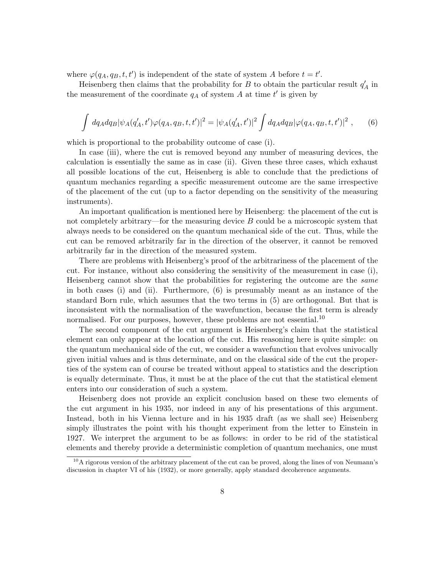where  $\varphi(q_A, q_B, t, t')$  is independent of the state of system A before  $t = t'$ .

Heisenberg then claims that the probability for  $B$  to obtain the particular result  $q'_A$  in the measurement of the coordinate  $q_A$  of system A at time  $t'$  is given by

$$
\int dq_A dq_B |\psi_A(q'_A, t')\varphi(q_A, q_B, t, t')|^2 = |\psi_A(q'_A, t')|^2 \int dq_A dq_B |\varphi(q_A, q_B, t, t')|^2 , \qquad (6)
$$

which is proportional to the probability outcome of case (i).

In case (iii), where the cut is removed beyond any number of measuring devices, the calculation is essentially the same as in case (ii). Given these three cases, which exhaust all possible locations of the cut, Heisenberg is able to conclude that the predictions of quantum mechanics regarding a specific measurement outcome are the same irrespective of the placement of the cut (up to a factor depending on the sensitivity of the measuring instruments).

An important qualification is mentioned here by Heisenberg: the placement of the cut is not completely arbitrary—for the measuring device  $B$  could be a microscopic system that always needs to be considered on the quantum mechanical side of the cut. Thus, while the cut can be removed arbitrarily far in the direction of the observer, it cannot be removed arbitrarily far in the direction of the measured system.

There are problems with Heisenberg's proof of the arbitrariness of the placement of the cut. For instance, without also considering the sensitivity of the measurement in case (i), Heisenberg cannot show that the probabilities for registering the outcome are the same in both cases (i) and (ii). Furthermore, (6) is presumably meant as an instance of the standard Born rule, which assumes that the two terms in (5) are orthogonal. But that is inconsistent with the normalisation of the wavefunction, because the first term is already normalised. For our purposes, however, these problems are not essential.<sup>10</sup>

The second component of the cut argument is Heisenberg's claim that the statistical element can only appear at the location of the cut. His reasoning here is quite simple: on the quantum mechanical side of the cut, we consider a wavefunction that evolves univocally given initial values and is thus determinate, and on the classical side of the cut the properties of the system can of course be treated without appeal to statistics and the description is equally determinate. Thus, it must be at the place of the cut that the statistical element enters into our consideration of such a system.

Heisenberg does not provide an explicit conclusion based on these two elements of the cut argument in his 1935, nor indeed in any of his presentations of this argument. Instead, both in his Vienna lecture and in his 1935 draft (as we shall see) Heisenberg simply illustrates the point with his thought experiment from the letter to Einstein in 1927. We interpret the argument to be as follows: in order to be rid of the statistical elements and thereby provide a deterministic completion of quantum mechanics, one must

 $10<sup>10</sup>$  A rigorous version of the arbitrary placement of the cut can be proved, along the lines of von Neumann's discussion in chapter VI of his (1932), or more generally, apply standard decoherence arguments.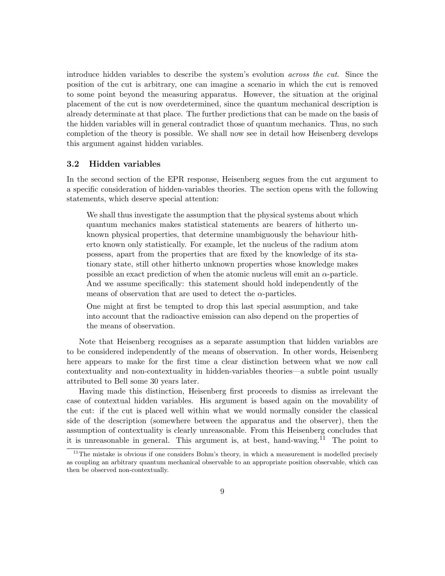introduce hidden variables to describe the system's evolution across the cut. Since the position of the cut is arbitrary, one can imagine a scenario in which the cut is removed to some point beyond the measuring apparatus. However, the situation at the original placement of the cut is now overdetermined, since the quantum mechanical description is already determinate at that place. The further predictions that can be made on the basis of the hidden variables will in general contradict those of quantum mechanics. Thus, no such completion of the theory is possible. We shall now see in detail how Heisenberg develops this argument against hidden variables.

#### 3.2 Hidden variables

In the second section of the EPR response, Heisenberg segues from the cut argument to a specific consideration of hidden-variables theories. The section opens with the following statements, which deserve special attention:

We shall thus investigate the assumption that the physical systems about which quantum mechanics makes statistical statements are bearers of hitherto unknown physical properties, that determine unambiguously the behaviour hitherto known only statistically. For example, let the nucleus of the radium atom possess, apart from the properties that are fixed by the knowledge of its stationary state, still other hitherto unknown properties whose knowledge makes possible an exact prediction of when the atomic nucleus will emit an  $\alpha$ -particle. And we assume specifically: this statement should hold independently of the means of observation that are used to detect the  $\alpha$ -particles.

One might at first be tempted to drop this last special assumption, and take into account that the radioactive emission can also depend on the properties of the means of observation.

Note that Heisenberg recognises as a separate assumption that hidden variables are to be considered independently of the means of observation. In other words, Heisenberg here appears to make for the first time a clear distinction between what we now call contextuality and non-contextuality in hidden-variables theories—a subtle point usually attributed to Bell some 30 years later.

Having made this distinction, Heisenberg first proceeds to dismiss as irrelevant the case of contextual hidden variables. His argument is based again on the movability of the cut: if the cut is placed well within what we would normally consider the classical side of the description (somewhere between the apparatus and the observer), then the assumption of contextuality is clearly unreasonable. From this Heisenberg concludes that it is unreasonable in general. This argument is, at best, hand-waving.<sup>11</sup> The point to

 $11$ The mistake is obvious if one considers Bohm's theory, in which a measurement is modelled precisely as coupling an arbitrary quantum mechanical observable to an appropriate position observable, which can then be observed non-contextually.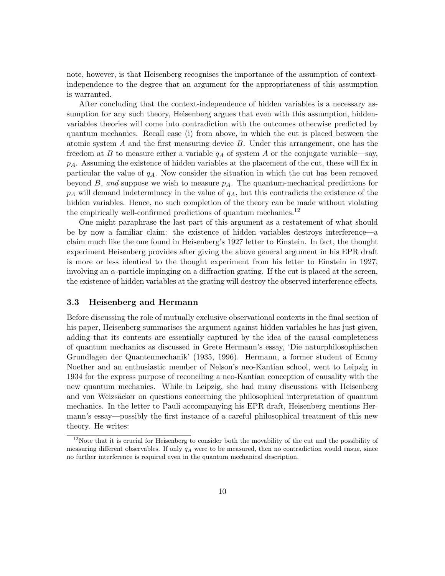note, however, is that Heisenberg recognises the importance of the assumption of contextindependence to the degree that an argument for the appropriateness of this assumption is warranted.

After concluding that the context-independence of hidden variables is a necessary assumption for any such theory, Heisenberg argues that even with this assumption, hiddenvariables theories will come into contradiction with the outcomes otherwise predicted by quantum mechanics. Recall case (i) from above, in which the cut is placed between the atomic system A and the first measuring device B. Under this arrangement, one has the freedom at B to measure either a variable  $q_A$  of system A or the conjugate variable—say,  $p_A$ . Assuming the existence of hidden variables at the placement of the cut, these will fix in particular the value of  $q_A$ . Now consider the situation in which the cut has been removed beyond B, and suppose we wish to measure  $p_A$ . The quantum-mechanical predictions for  $p_A$  will demand indeterminacy in the value of  $q_A$ , but this contradicts the existence of the hidden variables. Hence, no such completion of the theory can be made without violating the empirically well-confirmed predictions of quantum mechanics.<sup>12</sup>

One might paraphrase the last part of this argument as a restatement of what should be by now a familiar claim: the existence of hidden variables destroys interference—a claim much like the one found in Heisenberg's 1927 letter to Einstein. In fact, the thought experiment Heisenberg provides after giving the above general argument in his EPR draft is more or less identical to the thought experiment from his letter to Einstein in 1927, involving an  $\alpha$ -particle impinging on a diffraction grating. If the cut is placed at the screen, the existence of hidden variables at the grating will destroy the observed interference effects.

#### 3.3 Heisenberg and Hermann

Before discussing the role of mutually exclusive observational contexts in the final section of his paper, Heisenberg summarises the argument against hidden variables he has just given, adding that its contents are essentially captured by the idea of the causal completeness of quantum mechanics as discussed in Grete Hermann's essay, 'Die naturphilosophischen Grundlagen der Quantenmechanik' (1935, 1996). Hermann, a former student of Emmy Noether and an enthusiastic member of Nelson's neo-Kantian school, went to Leipzig in 1934 for the express purpose of reconciling a neo-Kantian conception of causality with the new quantum mechanics. While in Leipzig, she had many discussions with Heisenberg and von Weizsäcker on questions concerning the philosophical interpretation of quantum mechanics. In the letter to Pauli accompanying his EPR draft, Heisenberg mentions Hermann's essay—possibly the first instance of a careful philosophical treatment of this new theory. He writes:

<sup>&</sup>lt;sup>12</sup>Note that it is crucial for Heisenberg to consider both the movability of the cut and the possibility of measuring different observables. If only  $q_A$  were to be measured, then no contradiction would ensue, since no further interference is required even in the quantum mechanical description.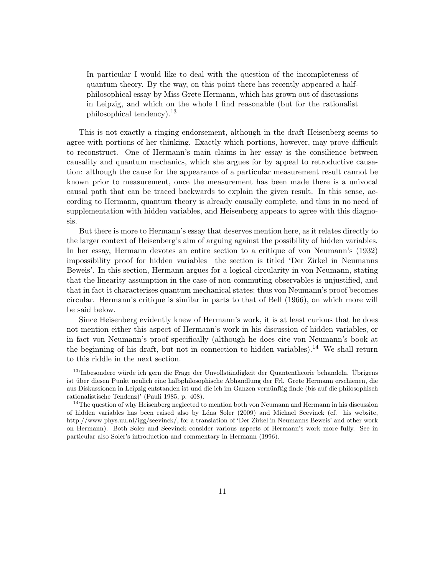In particular I would like to deal with the question of the incompleteness of quantum theory. By the way, on this point there has recently appeared a halfphilosophical essay by Miss Grete Hermann, which has grown out of discussions in Leipzig, and which on the whole I find reasonable (but for the rationalist philosophical tendency).<sup>13</sup>

This is not exactly a ringing endorsement, although in the draft Heisenberg seems to agree with portions of her thinking. Exactly which portions, however, may prove difficult to reconstruct. One of Hermann's main claims in her essay is the consilience between causality and quantum mechanics, which she argues for by appeal to retroductive causation: although the cause for the appearance of a particular measurement result cannot be known prior to measurement, once the measurement has been made there is a univocal causal path that can be traced backwards to explain the given result. In this sense, according to Hermann, quantum theory is already causally complete, and thus in no need of supplementation with hidden variables, and Heisenberg appears to agree with this diagnosis.

But there is more to Hermann's essay that deserves mention here, as it relates directly to the larger context of Heisenberg's aim of arguing against the possibility of hidden variables. In her essay, Hermann devotes an entire section to a critique of von Neumann's (1932) impossibility proof for hidden variables—the section is titled 'Der Zirkel in Neumanns Beweis'. In this section, Hermann argues for a logical circularity in von Neumann, stating that the linearity assumption in the case of non-commuting observables is unjustified, and that in fact it characterises quantum mechanical states; thus von Neumann's proof becomes circular. Hermann's critique is similar in parts to that of Bell (1966), on which more will be said below.

Since Heisenberg evidently knew of Hermann's work, it is at least curious that he does not mention either this aspect of Hermann's work in his discussion of hidden variables, or in fact von Neumann's proof specifically (although he does cite von Neumann's book at the beginning of his draft, but not in connection to hidden variables).<sup>14</sup> We shall return to this riddle in the next section.

<sup>&</sup>lt;sup>13</sup>'Inbesondere würde ich gern die Frage der Unvollständigkeit der Quantentheorie behandeln. Übrigens ist über diesen Punkt neulich eine halbphilosophische Abhandlung der Frl. Grete Hermann erschienen, die aus Diskussionen in Leipzig entstanden ist und die ich im Ganzen vernünftig finde (bis auf die philosophisch rationalistische Tendenz)' (Pauli 1985, p. 408).

<sup>&</sup>lt;sup>14</sup>The question of why Heisenberg neglected to mention both von Neumann and Hermann in his discussion of hidden variables has been raised also by L´ena Soler (2009) and Michael Seevinck (cf. his website, http://www.phys.uu.nl/igg/seevinck/, for a translation of 'Der Zirkel in Neumanns Beweis' and other work on Hermann). Both Soler and Seevinck consider various aspects of Hermann's work more fully. See in particular also Soler's introduction and commentary in Hermann (1996).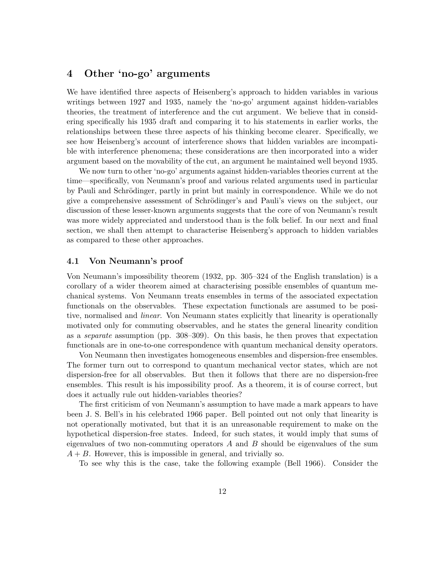### 4 Other 'no-go' arguments

We have identified three aspects of Heisenberg's approach to hidden variables in various writings between 1927 and 1935, namely the 'no-go' argument against hidden-variables theories, the treatment of interference and the cut argument. We believe that in considering specifically his 1935 draft and comparing it to his statements in earlier works, the relationships between these three aspects of his thinking become clearer. Specifically, we see how Heisenberg's account of interference shows that hidden variables are incompatible with interference phenomena; these considerations are then incorporated into a wider argument based on the movability of the cut, an argument he maintained well beyond 1935.

We now turn to other 'no-go' arguments against hidden-variables theories current at the time—specifically, von Neumann's proof and various related arguments used in particular by Pauli and Schrödinger, partly in print but mainly in correspondence. While we do not give a comprehensive assessment of Schrödinger's and Pauli's views on the subject, our discussion of these lesser-known arguments suggests that the core of von Neumann's result was more widely appreciated and understood than is the folk belief. In our next and final section, we shall then attempt to characterise Heisenberg's approach to hidden variables as compared to these other approaches.

#### 4.1 Von Neumann's proof

Von Neumann's impossibility theorem (1932, pp. 305–324 of the English translation) is a corollary of a wider theorem aimed at characterising possible ensembles of quantum mechanical systems. Von Neumann treats ensembles in terms of the associated expectation functionals on the observables. These expectation functionals are assumed to be positive, normalised and linear. Von Neumann states explicitly that linearity is operationally motivated only for commuting observables, and he states the general linearity condition as a separate assumption (pp. 308–309). On this basis, he then proves that expectation functionals are in one-to-one correspondence with quantum mechanical density operators.

Von Neumann then investigates homogeneous ensembles and dispersion-free ensembles. The former turn out to correspond to quantum mechanical vector states, which are not dispersion-free for all observables. But then it follows that there are no dispersion-free ensembles. This result is his impossibility proof. As a theorem, it is of course correct, but does it actually rule out hidden-variables theories?

The first criticism of von Neumann's assumption to have made a mark appears to have been J. S. Bell's in his celebrated 1966 paper. Bell pointed out not only that linearity is not operationally motivated, but that it is an unreasonable requirement to make on the hypothetical dispersion-free states. Indeed, for such states, it would imply that sums of eigenvalues of two non-commuting operators  $A$  and  $B$  should be eigenvalues of the sum  $A + B$ . However, this is impossible in general, and trivially so.

To see why this is the case, take the following example (Bell 1966). Consider the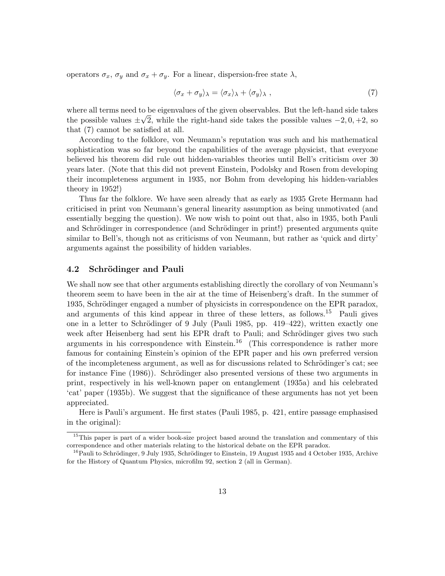operators  $\sigma_x$ ,  $\sigma_y$  and  $\sigma_x + \sigma_y$ . For a linear, dispersion-free state  $\lambda$ ,

$$
\langle \sigma_x + \sigma_y \rangle_{\lambda} = \langle \sigma_x \rangle_{\lambda} + \langle \sigma_y \rangle_{\lambda} , \qquad (7)
$$

where all terms need to be eigenvalues of the given observables. But the left-hand side takes the possible values  $\pm\sqrt{2}$ , while the right-hand side takes the possible values  $-2,0,+2$ , so that (7) cannot be satisfied at all.

According to the folklore, von Neumann's reputation was such and his mathematical sophistication was so far beyond the capabilities of the average physicist, that everyone believed his theorem did rule out hidden-variables theories until Bell's criticism over 30 years later. (Note that this did not prevent Einstein, Podolsky and Rosen from developing their incompleteness argument in 1935, nor Bohm from developing his hidden-variables theory in 1952!)

Thus far the folklore. We have seen already that as early as 1935 Grete Hermann had criticised in print von Neumann's general linearity assumption as being unmotivated (and essentially begging the question). We now wish to point out that, also in 1935, both Pauli and Schrödinger in correspondence (and Schrödinger in print!) presented arguments quite similar to Bell's, though not as criticisms of von Neumann, but rather as 'quick and dirty' arguments against the possibility of hidden variables.

#### 4.2 Schrödinger and Pauli

We shall now see that other arguments establishing directly the corollary of von Neumann's theorem seem to have been in the air at the time of Heisenberg's draft. In the summer of 1935, Schrödinger engaged a number of physicists in correspondence on the EPR paradox, and arguments of this kind appear in three of these letters, as follows.<sup>15</sup> Pauli gives one in a letter to Schrödinger of 9 July (Pauli 1985, pp.  $419-422$ ), written exactly one week after Heisenberg had sent his EPR draft to Pauli; and Schrödinger gives two such arguments in his correspondence with Einstein.<sup>16</sup> (This correspondence is rather more famous for containing Einstein's opinion of the EPR paper and his own preferred version of the incompleteness argument, as well as for discussions related to Schrödinger's cat; see for instance Fine (1986)). Schrödinger also presented versions of these two arguments in print, respectively in his well-known paper on entanglement (1935a) and his celebrated 'cat' paper (1935b). We suggest that the significance of these arguments has not yet been appreciated.

Here is Pauli's argument. He first states (Pauli 1985, p. 421, entire passage emphasised in the original):

<sup>&</sup>lt;sup>15</sup>This paper is part of a wider book-size project based around the translation and commentary of this correspondence and other materials relating to the historical debate on the EPR paradox.

<sup>&</sup>lt;sup>16</sup>Pauli to Schrödinger, 9 July 1935, Schrödinger to Einstein, 19 August 1935 and 4 October 1935, Archive for the History of Quantum Physics, microfilm 92, section 2 (all in German).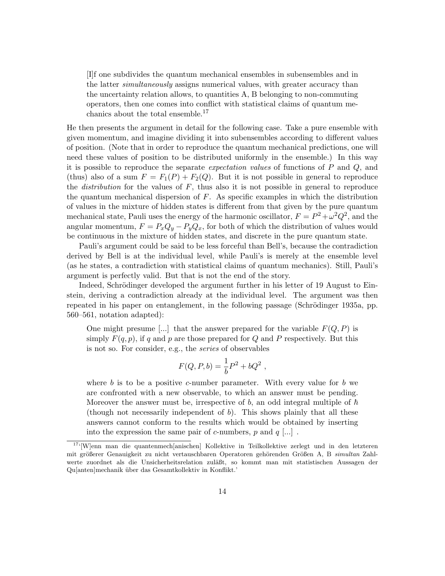[I]f one subdivides the quantum mechanical ensembles in subensembles and in the latter simultaneously assigns numerical values, with greater accuracy than the uncertainty relation allows, to quantities A, B belonging to non-commuting operators, then one comes into conflict with statistical claims of quantum mechanics about the total ensemble.<sup>17</sup>

He then presents the argument in detail for the following case. Take a pure ensemble with given momentum, and imagine dividing it into subensembles according to different values of position. (Note that in order to reproduce the quantum mechanical predictions, one will need these values of position to be distributed uniformly in the ensemble.) In this way it is possible to reproduce the separate *expectation values* of functions of  $P$  and  $Q$ , and (thus) also of a sum  $F = F_1(P) + F_2(Q)$ . But it is not possible in general to reproduce the *distribution* for the values of  $F$ , thus also it is not possible in general to reproduce the quantum mechanical dispersion of  $F$ . As specific examples in which the distribution of values in the mixture of hidden states is different from that given by the pure quantum mechanical state, Pauli uses the energy of the harmonic oscillator,  $F = P^2 + \omega^2 Q^2$ , and the angular momentum,  $F = P_x Q_y - P_y Q_x$ , for both of which the distribution of values would be continuous in the mixture of hidden states, and discrete in the pure quantum state.

Pauli's argument could be said to be less forceful than Bell's, because the contradiction derived by Bell is at the individual level, while Pauli's is merely at the ensemble level (as he states, a contradiction with statistical claims of quantum mechanics). Still, Pauli's argument is perfectly valid. But that is not the end of the story.

Indeed, Schrödinger developed the argument further in his letter of 19 August to Einstein, deriving a contradiction already at the individual level. The argument was then repeated in his paper on entanglement, in the following passage (Schrödinger 1935a, pp. 560–561, notation adapted):

One might presume [...] that the answer prepared for the variable  $F(Q, P)$  is simply  $F(q, p)$ , if q and p are those prepared for Q and P respectively. But this is not so. For consider, e.g., the series of observables

$$
F(Q, P, b) = \frac{1}{b}P^2 + bQ^2 ,
$$

where b is to be a positive c-number parameter. With every value for b we are confronted with a new observable, to which an answer must be pending. Moreover the answer must be, irrespective of  $b$ , an odd integral multiple of  $\hbar$ (though not necessarily independent of  $b$ ). This shows plainly that all these answers cannot conform to the results which would be obtained by inserting into the expression the same pair of c-numbers,  $p$  and  $q$  [...].

<sup>&</sup>lt;sup>17'</sup>[W]enn man die quantenmech[anischen] Kollektive in Teilkollektive zerlegt und in den letzteren mit größerer Genauigkeit zu nicht vertauschbaren Operatoren gehörenden Größen A, B simultan Zahlwerte zuordnet als die Unsicherheitsrelation zuläßt, so kommt man mit statistischen Aussagen der Qu[anten]mechanik über das Gesamtkollektiv in Konflikt.'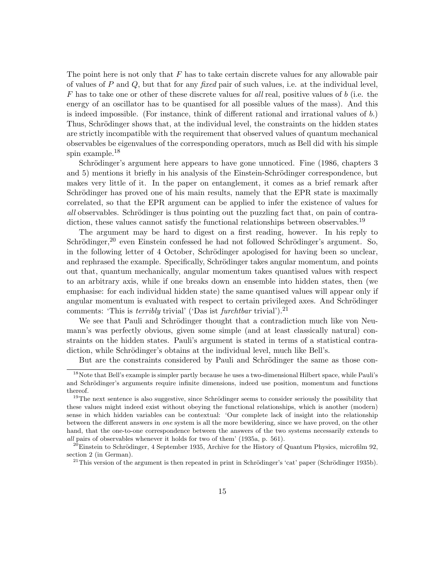The point here is not only that  $F$  has to take certain discrete values for any allowable pair of values of P and  $Q$ , but that for any fixed pair of such values, i.e. at the individual level, F has to take one or other of these discrete values for all real, positive values of b (i.e. the energy of an oscillator has to be quantised for all possible values of the mass). And this is indeed impossible. (For instance, think of different rational and irrational values of b.) Thus, Schrödinger shows that, at the individual level, the constraints on the hidden states are strictly incompatible with the requirement that observed values of quantum mechanical observables be eigenvalues of the corresponding operators, much as Bell did with his simple spin example.<sup>18</sup>

Schrödinger's argument here appears to have gone unnoticed. Fine (1986, chapters 3 and 5) mentions it briefly in his analysis of the Einstein-Schrödinger correspondence, but makes very little of it. In the paper on entanglement, it comes as a brief remark after Schrödinger has proved one of his main results, namely that the EPR state is maximally correlated, so that the EPR argument can be applied to infer the existence of values for all observables. Schrödinger is thus pointing out the puzzling fact that, on pain of contradiction, these values cannot satisfy the functional relationships between observables.<sup>19</sup>

The argument may be hard to digest on a first reading, however. In his reply to Schrödinger,<sup>20</sup> even Einstein confessed he had not followed Schrödinger's argument. So, in the following letter of 4 October, Schrödinger apologised for having been so unclear, and rephrased the example. Specifically, Schrödinger takes angular momentum, and points out that, quantum mechanically, angular momentum takes quantised values with respect to an arbitrary axis, while if one breaks down an ensemble into hidden states, then (we emphasise: for each individual hidden state) the same quantised values will appear only if angular momentum is evaluated with respect to certain privileged axes. And Schrödinger comments: 'This is *terribly* trivial' ('Das ist *furchtbar* trivial').<sup>21</sup>

We see that Pauli and Schrödinger thought that a contradiction much like von Neumann's was perfectly obvious, given some simple (and at least classically natural) constraints on the hidden states. Pauli's argument is stated in terms of a statistical contradiction, while Schrödinger's obtains at the individual level, much like Bell's.

But are the constraints considered by Pauli and Schrödinger the same as those con-

<sup>18</sup>Note that Bell's example is simpler partly because he uses a two-dimensional Hilbert space, while Pauli's and Schrödinger's arguments require infinite dimensions, indeed use position, momentum and functions thereof.

 $19$ The next sentence is also suggestive, since Schrödinger seems to consider seriously the possibility that these values might indeed exist without obeying the functional relationships, which is another (modern) sense in which hidden variables can be contextual: 'Our complete lack of insight into the relationship between the different answers in one system is all the more bewildering, since we have proved, on the other hand, that the one-to-one correspondence between the answers of the two systems necessarily extends to all pairs of observables whenever it holds for two of them' (1935a, p. 561).

<sup>&</sup>lt;sup>20</sup>Einstein to Schrödinger, 4 September 1935, Archive for the History of Quantum Physics, microfilm 92, section 2 (in German).

<sup>&</sup>lt;sup>21</sup>This version of the argument is then repeated in print in Schrödinger's 'cat' paper (Schrödinger 1935b).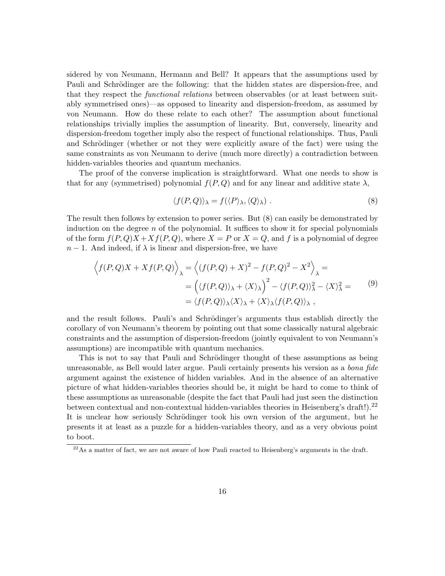sidered by von Neumann, Hermann and Bell? It appears that the assumptions used by Pauli and Schrödinger are the following: that the hidden states are dispersion-free, and that they respect the functional relations between observables (or at least between suitably symmetrised ones)—as opposed to linearity and dispersion-freedom, as assumed by von Neumann. How do these relate to each other? The assumption about functional relationships trivially implies the assumption of linearity. But, conversely, linearity and dispersion-freedom together imply also the respect of functional relationships. Thus, Pauli and Schrödinger (whether or not they were explicitly aware of the fact) were using the same constraints as von Neumann to derive (much more directly) a contradiction between hidden-variables theories and quantum mechanics.

The proof of the converse implication is straightforward. What one needs to show is that for any (symmetrised) polynomial  $f(P,Q)$  and for any linear and additive state  $\lambda$ ,

$$
\langle f(P,Q)\rangle_{\lambda} = f(\langle P\rangle_{\lambda}, \langle Q\rangle_{\lambda}). \tag{8}
$$

The result then follows by extension to power series. But (8) can easily be demonstrated by induction on the degree  $n$  of the polynomial. It suffices to show it for special polynomials of the form  $f(P,Q)X+Xf(P,Q)$ , where  $X=P$  or  $X=Q$ , and f is a polynomial of degree  $n-1$ . And indeed, if  $\lambda$  is linear and dispersion-free, we have

$$
\left\langle f(P,Q)X + Xf(P,Q)\right\rangle_{\lambda} = \left\langle (f(P,Q) + X)^2 - f(P,Q)^2 - X^2 \right\rangle_{\lambda} =
$$
  
= 
$$
\left(\langle f(P,Q)\rangle_{\lambda} + \langle X\rangle_{\lambda}\right)^2 - \langle f(P,Q)\rangle_{\lambda}^2 - \langle X\rangle_{\lambda}^2 =
$$
  
= 
$$
\langle f(P,Q)\rangle_{\lambda}\langle X\rangle_{\lambda} + \langle X\rangle_{\lambda}\langle f(P,Q)\rangle_{\lambda},
$$
 (9)

and the result follows. Pauli's and Schrödinger's arguments thus establish directly the corollary of von Neumann's theorem by pointing out that some classically natural algebraic constraints and the assumption of dispersion-freedom (jointly equivalent to von Neumann's assumptions) are incompatible with quantum mechanics.

This is not to say that Pauli and Schrödinger thought of these assumptions as being unreasonable, as Bell would later argue. Pauli certainly presents his version as a bona fide argument against the existence of hidden variables. And in the absence of an alternative picture of what hidden-variables theories should be, it might be hard to come to think of these assumptions as unreasonable (despite the fact that Pauli had just seen the distinction between contextual and non-contextual hidden-variables theories in Heisenberg's draft!).<sup>22</sup> It is unclear how seriously Schrödinger took his own version of the argument, but he presents it at least as a puzzle for a hidden-variables theory, and as a very obvious point to boot.

 $^{22}$ As a matter of fact, we are not aware of how Pauli reacted to Heisenberg's arguments in the draft.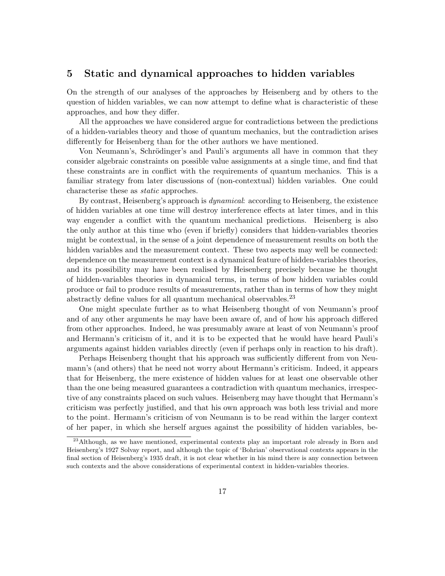### 5 Static and dynamical approaches to hidden variables

On the strength of our analyses of the approaches by Heisenberg and by others to the question of hidden variables, we can now attempt to define what is characteristic of these approaches, and how they differ.

All the approaches we have considered argue for contradictions between the predictions of a hidden-variables theory and those of quantum mechanics, but the contradiction arises differently for Heisenberg than for the other authors we have mentioned.

Von Neumann's, Schrödinger's and Pauli's arguments all have in common that they consider algebraic constraints on possible value assignments at a single time, and find that these constraints are in conflict with the requirements of quantum mechanics. This is a familiar strategy from later discussions of (non-contextual) hidden variables. One could characterise these as static approches.

By contrast, Heisenberg's approach is dynamical: according to Heisenberg, the existence of hidden variables at one time will destroy interference effects at later times, and in this way engender a conflict with the quantum mechanical predictions. Heisenberg is also the only author at this time who (even if briefly) considers that hidden-variables theories might be contextual, in the sense of a joint dependence of measurement results on both the hidden variables and the measurement context. These two aspects may well be connected: dependence on the measurement context is a dynamical feature of hidden-variables theories, and its possibility may have been realised by Heisenberg precisely because he thought of hidden-variables theories in dynamical terms, in terms of how hidden variables could produce or fail to produce results of measurements, rather than in terms of how they might abstractly define values for all quantum mechanical observables.<sup>23</sup>

One might speculate further as to what Heisenberg thought of von Neumann's proof and of any other arguments he may have been aware of, and of how his approach differed from other approaches. Indeed, he was presumably aware at least of von Neumann's proof and Hermann's criticism of it, and it is to be expected that he would have heard Pauli's arguments against hidden variables directly (even if perhaps only in reaction to his draft).

Perhaps Heisenberg thought that his approach was sufficiently different from von Neumann's (and others) that he need not worry about Hermann's criticism. Indeed, it appears that for Heisenberg, the mere existence of hidden values for at least one observable other than the one being measured guarantees a contradiction with quantum mechanics, irrespective of any constraints placed on such values. Heisenberg may have thought that Hermann's criticism was perfectly justified, and that his own approach was both less trivial and more to the point. Hermann's criticism of von Neumann is to be read within the larger context of her paper, in which she herself argues against the possibility of hidden variables, be-

 $23$ Although, as we have mentioned, experimental contexts play an important role already in Born and Heisenberg's 1927 Solvay report, and although the topic of 'Bohrian' observational contexts appears in the final section of Heisenberg's 1935 draft, it is not clear whether in his mind there is any connection between such contexts and the above considerations of experimental context in hidden-variables theories.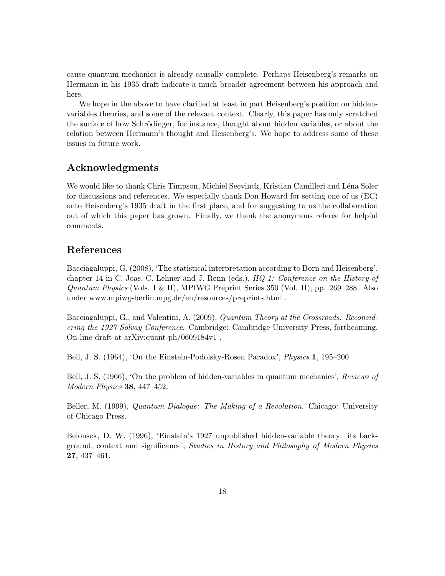cause quantum mechanics is already causally complete. Perhaps Heisenberg's remarks on Hermann in his 1935 draft indicate a much broader agreement between his approach and hers.

We hope in the above to have clarified at least in part Heisenberg's position on hiddenvariables theories, and some of the relevant context. Clearly, this paper has only scratched the surface of how Schrödinger, for instance, thought about hidden variables, or about the relation between Hermann's thought and Heisenberg's. We hope to address some of these issues in future work.

## Acknowledgments

We would like to thank Chris Timpson, Michiel Seevinck, Kristian Camilleri and Léna Soler for discussions and references. We especially thank Don Howard for setting one of us (EC) onto Heisenberg's 1935 draft in the first place, and for suggesting to us the collaboration out of which this paper has grown. Finally, we thank the anonymous referee for helpful comments.

### References

Bacciagaluppi, G. (2008), 'The statistical interpretation according to Born and Heisenberg', chapter 14 in C. Joas, C. Lehner and J. Renn (eds.), HQ-1: Conference on the History of Quantum Physics (Vols. I & II), MPIWG Preprint Series 350 (Vol. II), pp. 269–288. Also under www.mpiwg-berlin.mpg.de/en/resources/preprints.html .

Bacciagaluppi, G., and Valentini, A. (2009), Quantum Theory at the Crossroads: Reconsidering the 1927 Solvay Conference. Cambridge: Cambridge University Press, forthcoming. On-line draft at arXiv:quant-ph/0609184v1 .

Bell, J. S. (1964), 'On the Einstein-Podolsky-Rosen Paradox', Physics 1, 195–200.

Bell, J. S. (1966), 'On the problem of hidden-variables in quantum mechanics', Reviews of Modern Physics 38, 447–452.

Beller, M. (1999), Quantum Dialogue: The Making of a Revolution. Chicago: University of Chicago Press.

Belousek, D. W. (1996), 'Einstein's 1927 unpublished hidden-variable theory: its background, context and significance', Studies in History and Philosophy of Modern Physics 27, 437–461.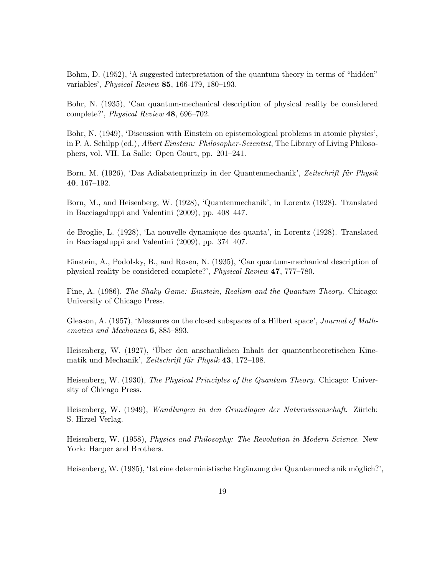Bohm, D. (1952), 'A suggested interpretation of the quantum theory in terms of "hidden" variables', Physical Review 85, 166-179, 180–193.

Bohr, N. (1935), 'Can quantum-mechanical description of physical reality be considered complete?', Physical Review 48, 696–702.

Bohr, N. (1949), 'Discussion with Einstein on epistemological problems in atomic physics', in P. A. Schilpp (ed.), *Albert Einstein: Philosopher-Scientist*, The Library of Living Philosophers, vol. VII. La Salle: Open Court, pp. 201–241.

Born, M. (1926), 'Das Adiabatenprinzip in der Quantenmechanik', Zeitschrift für Physik 40, 167–192.

Born, M., and Heisenberg, W. (1928), 'Quantenmechanik', in Lorentz (1928). Translated in Bacciagaluppi and Valentini (2009), pp. 408–447.

de Broglie, L. (1928), 'La nouvelle dynamique des quanta', in Lorentz (1928). Translated in Bacciagaluppi and Valentini (2009), pp. 374–407.

Einstein, A., Podolsky, B., and Rosen, N. (1935), 'Can quantum-mechanical description of physical reality be considered complete?', Physical Review 47, 777–780.

Fine, A. (1986), The Shaky Game: Einstein, Realism and the Quantum Theory. Chicago: University of Chicago Press.

Gleason, A. (1957), 'Measures on the closed subspaces of a Hilbert space', Journal of Mathematics and Mechanics 6, 885–893.

Heisenberg, W. (1927), 'Uber den anschaulichen Inhalt der quantentheoretischen Kine- ¨ matik und Mechanik', Zeitschrift für Physik 43, 172–198.

Heisenberg, W. (1930), The Physical Principles of the Quantum Theory. Chicago: University of Chicago Press.

Heisenberg, W. (1949), Wandlungen in den Grundlagen der Naturwissenschaft. Zürich: S. Hirzel Verlag.

Heisenberg, W. (1958), Physics and Philosophy: The Revolution in Modern Science. New York: Harper and Brothers.

Heisenberg, W. (1985), 'Ist eine deterministische Ergänzung der Quantenmechanik möglich?',